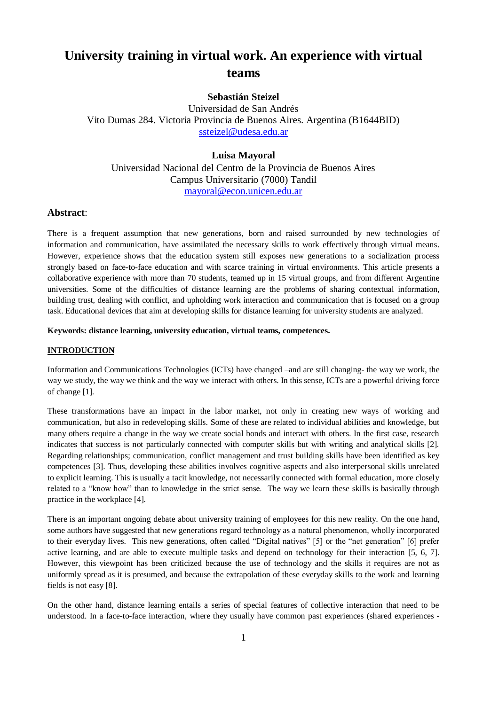# **University training in virtual work. An experience with virtual teams**

# **Sebastián Steizel**

Universidad de San Andrés Vito Dumas 284. Victoria Provincia de Buenos Aires. Argentina (B1644BID) [ssteizel@udesa.edu.ar](mailto:ssteizel@udesa.edu.ar)

## **Luisa Mayoral**

Universidad Nacional del Centro de la Provincia de Buenos Aires Campus Universitario (7000) Tandil [mayoral@econ.unicen.edu.ar](mailto:mayoral@econ.unicen.edu.ar)

## **Abstract**:

There is a frequent assumption that new generations, born and raised surrounded by new technologies of information and communication, have assimilated the necessary skills to work effectively through virtual means. However, experience shows that the education system still exposes new generations to a socialization process strongly based on face-to-face education and with scarce training in virtual environments. This article presents a collaborative experience with more than 70 students, teamed up in 15 virtual groups, and from different Argentine universities. Some of the difficulties of distance learning are the problems of sharing contextual information, building trust, dealing with conflict, and upholding work interaction and communication that is focused on a group task. Educational devices that aim at developing skills for distance learning for university students are analyzed.

#### **Keywords: distance learning, university education, virtual teams, competences.**

## **INTRODUCTION**

Information and Communications Technologies (ICTs) have changed –and are still changing- the way we work, the way we study, the way we think and the way we interact with others. In this sense, ICTs are a powerful driving force of change [1].

These transformations have an impact in the labor market, not only in creating new ways of working and communication, but also in redeveloping skills. Some of these are related to individual abilities and knowledge, but many others require a change in the way we create social bonds and interact with others. In the first case, research indicates that success is not particularly connected with computer skills but with writing and analytical skills [2]. Regarding relationships; communication, conflict management and trust building skills have been identified as key competences [3]. Thus, developing these abilities involves cognitive aspects and also interpersonal skills unrelated to explicit learning. This is usually a tacit knowledge, not necessarily connected with formal education, more closely related to a "know how" than to knowledge in the strict sense. The way we learn these skills is basically through practice in the workplace [4].

There is an important ongoing debate about university training of employees for this new reality. On the one hand, some authors have suggested that new generations regard technology as a natural phenomenon, wholly incorporated to their everyday lives. This new generations, often called "Digital natives" [5] or the "net generation" [6] prefer active learning, and are able to execute multiple tasks and depend on technology for their interaction [5, 6, 7]. However, this viewpoint has been criticized because the use of technology and the skills it requires are not as uniformly spread as it is presumed, and because the extrapolation of these everyday skills to the work and learning fields is not easy [8].

On the other hand, distance learning entails a series of special features of collective interaction that need to be understood. In a face-to-face interaction, where they usually have common past experiences (shared experiences -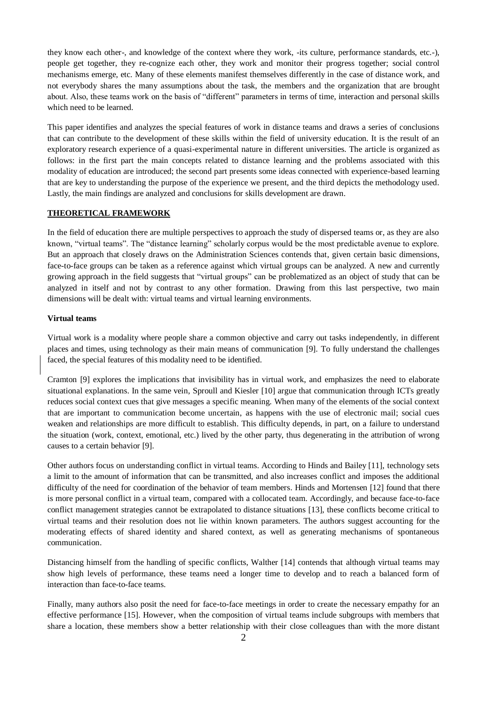they know each other-, and knowledge of the context where they work, -its culture, performance standards, etc.-), people get together, they re-cognize each other, they work and monitor their progress together; social control mechanisms emerge, etc. Many of these elements manifest themselves differently in the case of distance work, and not everybody shares the many assumptions about the task, the members and the organization that are brought about. Also, these teams work on the basis of "different" parameters in terms of time, interaction and personal skills which need to be learned.

This paper identifies and analyzes the special features of work in distance teams and draws a series of conclusions that can contribute to the development of these skills within the field of university education. It is the result of an exploratory research experience of a quasi-experimental nature in different universities. The article is organized as follows: in the first part the main concepts related to distance learning and the problems associated with this modality of education are introduced; the second part presents some ideas connected with experience-based learning that are key to understanding the purpose of the experience we present, and the third depicts the methodology used. Lastly, the main findings are analyzed and conclusions for skills development are drawn.

## **THEORETICAL FRAMEWORK**

In the field of education there are multiple perspectives to approach the study of dispersed teams or, as they are also known, "virtual teams". The "distance learning" scholarly corpus would be the most predictable avenue to explore. But an approach that closely draws on the Administration Sciences contends that, given certain basic dimensions, face-to-face groups can be taken as a reference against which virtual groups can be analyzed. A new and currently growing approach in the field suggests that "virtual groups" can be problematized as an object of study that can be analyzed in itself and not by contrast to any other formation. Drawing from this last perspective, two main dimensions will be dealt with: virtual teams and virtual learning environments.

## **Virtual teams**

Virtual work is a modality where people share a common objective and carry out tasks independently, in different places and times, using technology as their main means of communication [9]. To fully understand the challenges faced, the special features of this modality need to be identified.

Cramton [9] explores the implications that invisibility has in virtual work, and emphasizes the need to elaborate situational explanations. In the same vein, Sproull and Kiesler [10] argue that communication through ICTs greatly reduces social context cues that give messages a specific meaning. When many of the elements of the social context that are important to communication become uncertain, as happens with the use of electronic mail; social cues weaken and relationships are more difficult to establish. This difficulty depends, in part, on a failure to understand the situation (work, context, emotional, etc.) lived by the other party, thus degenerating in the attribution of wrong causes to a certain behavior [9].

Other authors focus on understanding conflict in virtual teams. According to Hinds and Bailey [11], technology sets a limit to the amount of information that can be transmitted, and also increases conflict and imposes the additional difficulty of the need for coordination of the behavior of team members. Hinds and Mortensen [12] found that there is more personal conflict in a virtual team, compared with a collocated team. Accordingly, and because face-to-face conflict management strategies cannot be extrapolated to distance situations [13], these conflicts become critical to virtual teams and their resolution does not lie within known parameters. The authors suggest accounting for the moderating effects of shared identity and shared context, as well as generating mechanisms of spontaneous communication.

Distancing himself from the handling of specific conflicts, Walther [14] contends that although virtual teams may show high levels of performance, these teams need a longer time to develop and to reach a balanced form of interaction than face-to-face teams.

Finally, many authors also posit the need for face-to-face meetings in order to create the necessary empathy for an effective performance [15]. However, when the composition of virtual teams include subgroups with members that share a location, these members show a better relationship with their close colleagues than with the more distant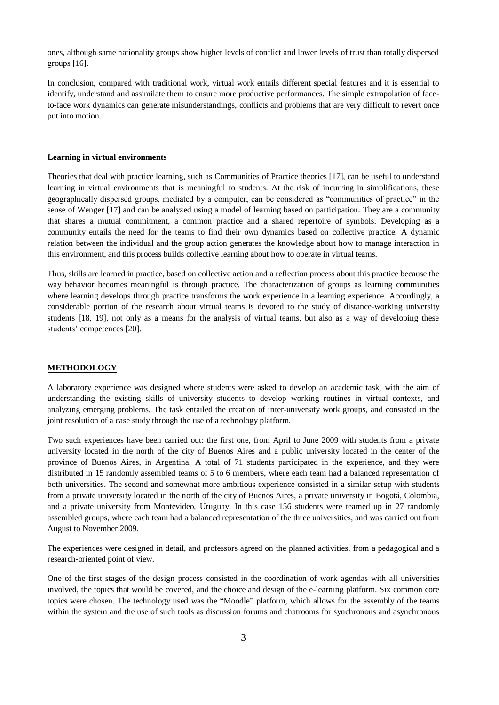ones, although same nationality groups show higher levels of conflict and lower levels of trust than totally dispersed groups [16].

In conclusion, compared with traditional work, virtual work entails different special features and it is essential to identify, understand and assimilate them to ensure more productive performances. The simple extrapolation of faceto-face work dynamics can generate misunderstandings, conflicts and problems that are very difficult to revert once put into motion.

#### **Learning in virtual environments**

Theories that deal with practice learning, such as Communities of Practice theories [17], can be useful to understand learning in virtual environments that is meaningful to students. At the risk of incurring in simplifications, these geographically dispersed groups, mediated by a computer, can be considered as "communities of practice" in the sense of Wenger [17] and can be analyzed using a model of learning based on participation. They are a community that shares a mutual commitment, a common practice and a shared repertoire of symbols. Developing as a community entails the need for the teams to find their own dynamics based on collective practice. A dynamic relation between the individual and the group action generates the knowledge about how to manage interaction in this environment, and this process builds collective learning about how to operate in virtual teams.

Thus, skills are learned in practice, based on collective action and a reflection process about this practice because the way behavior becomes meaningful is through practice. The characterization of groups as learning communities where learning develops through practice transforms the work experience in a learning experience. Accordingly, a considerable portion of the research about virtual teams is devoted to the study of distance-working university students [18, 19], not only as a means for the analysis of virtual teams, but also as a way of developing these students' competences [20].

## **METHODOLOGY**

A laboratory experience was designed where students were asked to develop an academic task, with the aim of understanding the existing skills of university students to develop working routines in virtual contexts, and analyzing emerging problems. The task entailed the creation of inter-university work groups, and consisted in the joint resolution of a case study through the use of a technology platform.

Two such experiences have been carried out: the first one, from April to June 2009 with students from a private university located in the north of the city of Buenos Aires and a public university located in the center of the province of Buenos Aires, in Argentina. A total of 71 students participated in the experience, and they were distributed in 15 randomly assembled teams of 5 to 6 members, where each team had a balanced representation of both universities. The second and somewhat more ambitious experience consisted in a similar setup with students from a private university located in the north of the city of Buenos Aires, a private university in Bogotá, Colombia, and a private university from Montevideo, Uruguay. In this case 156 students were teamed up in 27 randomly assembled groups, where each team had a balanced representation of the three universities, and was carried out from August to November 2009.

The experiences were designed in detail, and professors agreed on the planned activities, from a pedagogical and a research-oriented point of view.

One of the first stages of the design process consisted in the coordination of work agendas with all universities involved, the topics that would be covered, and the choice and design of the e-learning platform. Six common core topics were chosen. The technology used was the "Moodle" platform, which allows for the assembly of the teams within the system and the use of such tools as discussion forums and chatrooms for synchronous and asynchronous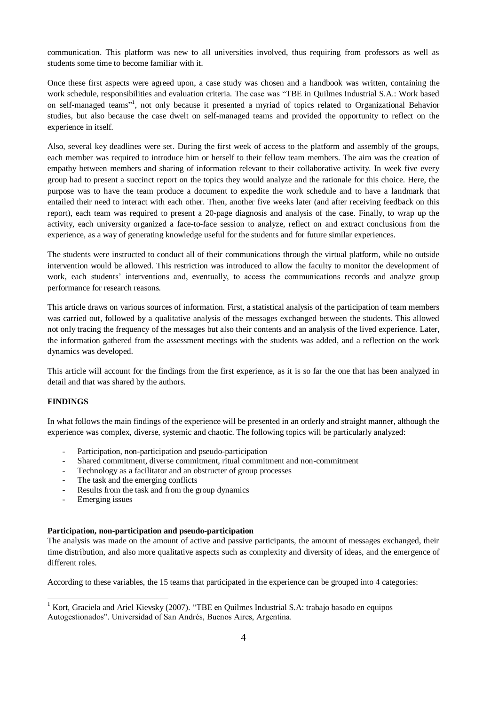communication. This platform was new to all universities involved, thus requiring from professors as well as students some time to become familiar with it.

Once these first aspects were agreed upon, a case study was chosen and a handbook was written, containing the work schedule, responsibilities and evaluation criteria. The case was "TBE in Quilmes Industrial S.A.: Work based on self-managed teams"<sup>1</sup>, not only because it presented a myriad of topics related to Organizational Behavior studies, but also because the case dwelt on self-managed teams and provided the opportunity to reflect on the experience in itself.

Also, several key deadlines were set. During the first week of access to the platform and assembly of the groups, each member was required to introduce him or herself to their fellow team members. The aim was the creation of empathy between members and sharing of information relevant to their collaborative activity. In week five every group had to present a succinct report on the topics they would analyze and the rationale for this choice. Here, the purpose was to have the team produce a document to expedite the work schedule and to have a landmark that entailed their need to interact with each other. Then, another five weeks later (and after receiving feedback on this report), each team was required to present a 20-page diagnosis and analysis of the case. Finally, to wrap up the activity, each university organized a face-to-face session to analyze, reflect on and extract conclusions from the experience, as a way of generating knowledge useful for the students and for future similar experiences.

The students were instructed to conduct all of their communications through the virtual platform, while no outside intervention would be allowed. This restriction was introduced to allow the faculty to monitor the development of work, each students' interventions and, eventually, to access the communications records and analyze group performance for research reasons.

This article draws on various sources of information. First, a statistical analysis of the participation of team members was carried out, followed by a qualitative analysis of the messages exchanged between the students. This allowed not only tracing the frequency of the messages but also their contents and an analysis of the lived experience. Later, the information gathered from the assessment meetings with the students was added, and a reflection on the work dynamics was developed.

This article will account for the findings from the first experience, as it is so far the one that has been analyzed in detail and that was shared by the authors.

## **FINDINGS**

1

In what follows the main findings of the experience will be presented in an orderly and straight manner, although the experience was complex, diverse, systemic and chaotic. The following topics will be particularly analyzed:

- Participation, non-participation and pseudo-participation
- Shared commitment, diverse commitment, ritual commitment and non-commitment
- Technology as a facilitator and an obstructer of group processes
- The task and the emerging conflicts
- Results from the task and from the group dynamics
- Emerging issues

#### **Participation, non-participation and pseudo-participation**

The analysis was made on the amount of active and passive participants, the amount of messages exchanged, their time distribution, and also more qualitative aspects such as complexity and diversity of ideas, and the emergence of different roles.

According to these variables, the 15 teams that participated in the experience can be grouped into 4 categories:

<sup>&</sup>lt;sup>1</sup> Kort, Graciela and Ariel Kievsky (2007). "TBE en Quilmes Industrial S.A: trabajo basado en equipos Autogestionados". Universidad of San Andrés, Buenos Aires, Argentina.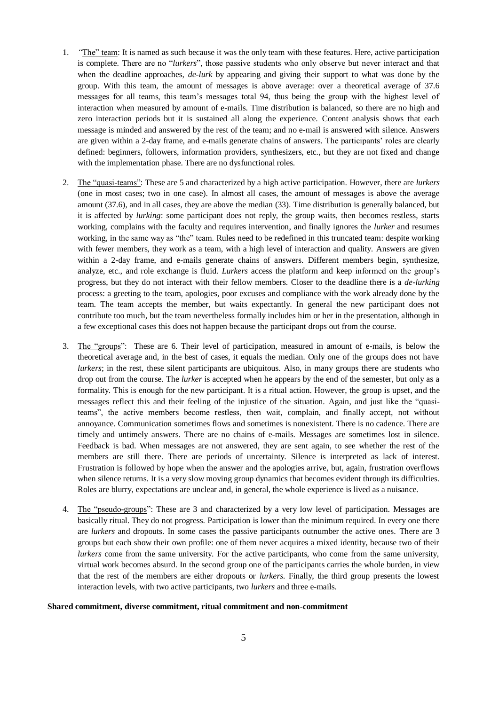- 1. *"*The" team: It is named as such because it was the only team with these features. Here, active participation is complete. There are no "*lurkers*", those passive students who only observe but never interact and that when the deadline approaches, *de-lurk* by appearing and giving their support to what was done by the group. With this team, the amount of messages is above average: over a theoretical average of 37.6 messages for all teams, this team"s messages total 94, thus being the group with the highest level of interaction when measured by amount of e-mails. Time distribution is balanced, so there are no high and zero interaction periods but it is sustained all along the experience. Content analysis shows that each message is minded and answered by the rest of the team; and no e-mail is answered with silence. Answers are given within a 2-day frame, and e-mails generate chains of answers. The participants" roles are clearly defined: beginners, followers, information providers, synthesizers, etc., but they are not fixed and change with the implementation phase. There are no dysfunctional roles.
- 2. The "quasi-teams": These are 5 and characterized by a high active participation. However, there are *lurkers* (one in most cases; two in one case). In almost all cases, the amount of messages is above the average amount (37.6), and in all cases, they are above the median (33). Time distribution is generally balanced, but it is affected by *lurking*: some participant does not reply, the group waits, then becomes restless, starts working, complains with the faculty and requires intervention, and finally ignores the *lurker* and resumes working, in the same way as "the" team. Rules need to be redefined in this truncated team: despite working with fewer members, they work as a team, with a high level of interaction and quality. Answers are given within a 2-day frame, and e-mails generate chains of answers. Different members begin, synthesize, analyze, etc., and role exchange is fluid. *Lurkers* access the platform and keep informed on the group"s progress, but they do not interact with their fellow members. Closer to the deadline there is a *de-lurking* process: a greeting to the team, apologies, poor excuses and compliance with the work already done by the team. The team accepts the member, but waits expectantly. In general the new participant does not contribute too much, but the team nevertheless formally includes him or her in the presentation, although in a few exceptional cases this does not happen because the participant drops out from the course.
- 3. The "groups": These are 6. Their level of participation, measured in amount of e-mails, is below the theoretical average and, in the best of cases, it equals the median. Only one of the groups does not have *lurkers*; in the rest, these silent participants are ubiquitous. Also, in many groups there are students who drop out from the course. The *lurker* is accepted when he appears by the end of the semester, but only as a formality. This is enough for the new participant. It is a ritual action. However, the group is upset, and the messages reflect this and their feeling of the injustice of the situation. Again, and just like the "quasiteams", the active members become restless, then wait, complain, and finally accept, not without annoyance. Communication sometimes flows and sometimes is nonexistent. There is no cadence. There are timely and untimely answers. There are no chains of e-mails. Messages are sometimes lost in silence. Feedback is bad. When messages are not answered, they are sent again, to see whether the rest of the members are still there. There are periods of uncertainty. Silence is interpreted as lack of interest. Frustration is followed by hope when the answer and the apologies arrive, but, again, frustration overflows when silence returns. It is a very slow moving group dynamics that becomes evident through its difficulties. Roles are blurry, expectations are unclear and, in general, the whole experience is lived as a nuisance.
- 4. The "pseudo-groups": These are 3 and characterized by a very low level of participation. Messages are basically ritual. They do not progress. Participation is lower than the minimum required. In every one there are *lurkers* and dropouts. In some cases the passive participants outnumber the active ones. There are 3 groups but each show their own profile: one of them never acquires a mixed identity, because two of their *lurkers* come from the same university. For the active participants, who come from the same university, virtual work becomes absurd. In the second group one of the participants carries the whole burden, in view that the rest of the members are either dropouts or *lurkers*. Finally, the third group presents the lowest interaction levels, with two active participants, two *lurkers* and three e-mails.

#### **Shared commitment, diverse commitment, ritual commitment and non-commitment**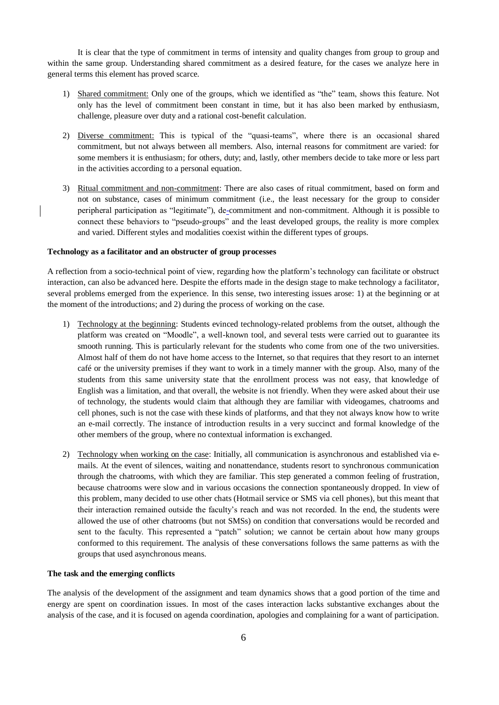It is clear that the type of commitment in terms of intensity and quality changes from group to group and within the same group. Understanding shared commitment as a desired feature, for the cases we analyze here in general terms this element has proved scarce.

- 1) Shared commitment: Only one of the groups, which we identified as "the" team, shows this feature. Not only has the level of commitment been constant in time, but it has also been marked by enthusiasm, challenge, pleasure over duty and a rational cost-benefit calculation.
- 2) Diverse commitment: This is typical of the "quasi-teams", where there is an occasional shared commitment, but not always between all members. Also, internal reasons for commitment are varied: for some members it is enthusiasm; for others, duty; and, lastly, other members decide to take more or less part in the activities according to a personal equation.
- 3) Ritual commitment and non-commitment: There are also cases of ritual commitment, based on form and not on substance, cases of minimum commitment (i.e., the least necessary for the group to consider peripheral participation as "legitimate"), de-commitment and non-commitment. Although it is possible to connect these behaviors to "pseudo-groups" and the least developed groups, the reality is more complex and varied. Different styles and modalities coexist within the different types of groups.

## **Technology as a facilitator and an obstructer of group processes**

A reflection from a socio-technical point of view, regarding how the platform"s technology can facilitate or obstruct interaction, can also be advanced here. Despite the efforts made in the design stage to make technology a facilitator, several problems emerged from the experience. In this sense, two interesting issues arose: 1) at the beginning or at the moment of the introductions; and 2) during the process of working on the case.

- 1) Technology at the beginning: Students evinced technology-related problems from the outset, although the platform was created on "Moodle", a well-known tool, and several tests were carried out to guarantee its smooth running. This is particularly relevant for the students who come from one of the two universities. Almost half of them do not have home access to the Internet, so that requires that they resort to an internet café or the university premises if they want to work in a timely manner with the group. Also, many of the students from this same university state that the enrollment process was not easy, that knowledge of English was a limitation, and that overall, the website is not friendly. When they were asked about their use of technology, the students would claim that although they are familiar with videogames, chatrooms and cell phones, such is not the case with these kinds of platforms, and that they not always know how to write an e-mail correctly. The instance of introduction results in a very succinct and formal knowledge of the other members of the group, where no contextual information is exchanged.
- 2) Technology when working on the case: Initially, all communication is asynchronous and established via emails. At the event of silences, waiting and nonattendance, students resort to synchronous communication through the chatrooms, with which they are familiar. This step generated a common feeling of frustration, because chatrooms were slow and in various occasions the connection spontaneously dropped. In view of this problem, many decided to use other chats (Hotmail service or SMS via cell phones), but this meant that their interaction remained outside the faculty"s reach and was not recorded. In the end, the students were allowed the use of other chatrooms (but not SMSs) on condition that conversations would be recorded and sent to the faculty. This represented a "patch" solution; we cannot be certain about how many groups conformed to this requirement. The analysis of these conversations follows the same patterns as with the groups that used asynchronous means.

## **The task and the emerging conflicts**

The analysis of the development of the assignment and team dynamics shows that a good portion of the time and energy are spent on coordination issues. In most of the cases interaction lacks substantive exchanges about the analysis of the case, and it is focused on agenda coordination, apologies and complaining for a want of participation.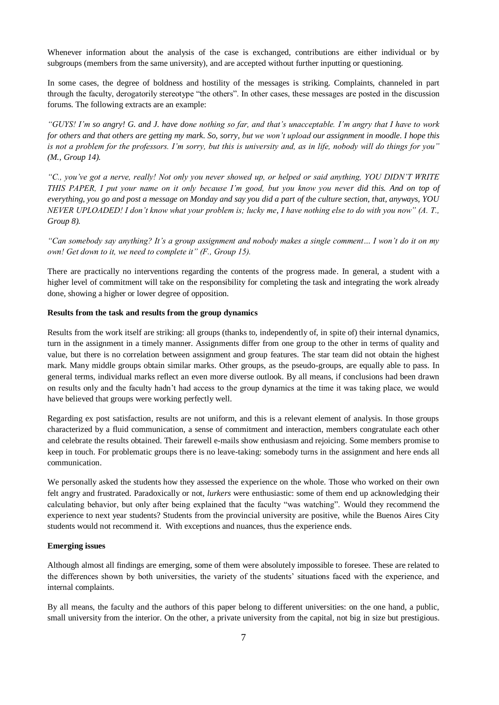Whenever information about the analysis of the case is exchanged, contributions are either individual or by subgroups (members from the same university), and are accepted without further inputting or questioning.

In some cases, the degree of boldness and hostility of the messages is striking. Complaints, channeled in part through the faculty, derogatorily stereotype "the others". In other cases, these messages are posted in the discussion forums. The following extracts are an example:

*"GUYS! I'm so angry! G. and J. have done nothing so far, and that's unacceptable. I'm angry that I have to work for others and that others are getting my mark. So, sorry, but we won't upload our assignment in moodle. I hope this is not a problem for the professors. I'm sorry, but this is university and, as in life, nobody will do things for you" (M., Group 14).*

*"C., you've got a nerve, really! Not only you never showed up, or helped or said anything, YOU DIDN'T WRITE THIS PAPER, I put your name on it only because I'm good, but you know you never did this. And on top of everything, you go and post a message on Monday and say you did a part of the culture section, that, anyways, YOU NEVER UPLOADED! I don't know what your problem is; lucky me, I have nothing else to do with you now" (A. T., Group 8).*

*"Can somebody say anything? It's a group assignment and nobody makes a single comment… I won't do it on my own! Get down to it, we need to complete it" (F., Group 15).* 

There are practically no interventions regarding the contents of the progress made. In general, a student with a higher level of commitment will take on the responsibility for completing the task and integrating the work already done, showing a higher or lower degree of opposition.

## **Results from the task and results from the group dynamics**

Results from the work itself are striking: all groups (thanks to, independently of, in spite of) their internal dynamics, turn in the assignment in a timely manner. Assignments differ from one group to the other in terms of quality and value, but there is no correlation between assignment and group features. The star team did not obtain the highest mark. Many middle groups obtain similar marks. Other groups, as the pseudo-groups, are equally able to pass. In general terms, individual marks reflect an even more diverse outlook. By all means, if conclusions had been drawn on results only and the faculty hadn"t had access to the group dynamics at the time it was taking place, we would have believed that groups were working perfectly well.

Regarding ex post satisfaction, results are not uniform, and this is a relevant element of analysis. In those groups characterized by a fluid communication, a sense of commitment and interaction, members congratulate each other and celebrate the results obtained. Their farewell e-mails show enthusiasm and rejoicing. Some members promise to keep in touch. For problematic groups there is no leave-taking: somebody turns in the assignment and here ends all communication.

We personally asked the students how they assessed the experience on the whole. Those who worked on their own felt angry and frustrated. Paradoxically or not, *lurkers* were enthusiastic: some of them end up acknowledging their calculating behavior, but only after being explained that the faculty "was watching". Would they recommend the experience to next year students? Students from the provincial university are positive, while the Buenos Aires City students would not recommend it. With exceptions and nuances, thus the experience ends.

## **Emerging issues**

Although almost all findings are emerging, some of them were absolutely impossible to foresee. These are related to the differences shown by both universities, the variety of the students" situations faced with the experience, and internal complaints.

By all means, the faculty and the authors of this paper belong to different universities: on the one hand, a public, small university from the interior. On the other, a private university from the capital, not big in size but prestigious.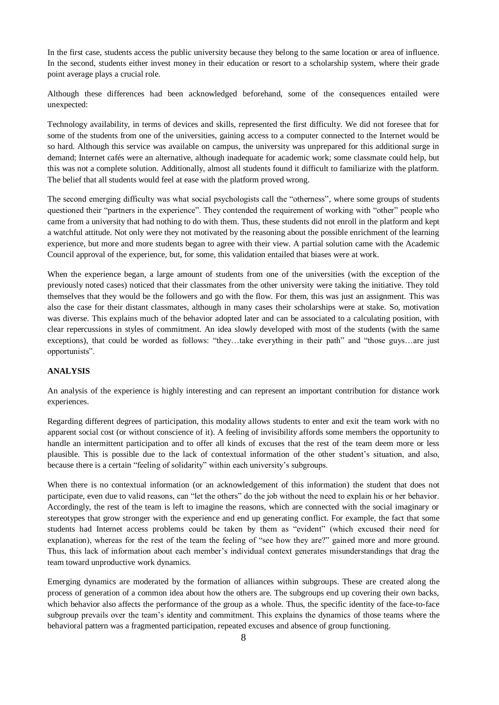In the first case, students access the public university because they belong to the same location or area of influence. In the second, students either invest money in their education or resort to a scholarship system, where their grade point average plays a crucial role.

Although these differences had been acknowledged beforehand, some of the consequences entailed were unexpected:

Technology availability, in terms of devices and skills, represented the first difficulty. We did not foresee that for some of the students from one of the universities, gaining access to a computer connected to the Internet would be so hard. Although this service was available on campus, the university was unprepared for this additional surge in demand; Internet cafés were an alternative, although inadequate for academic work; some classmate could help, but this was not a complete solution. Additionally, almost all students found it difficult to familiarize with the platform. The belief that all students would feel at ease with the platform proved wrong.

The second emerging difficulty was what social psychologists call the "otherness", where some groups of students questioned their "partners in the experience". They contended the requirement of working with "other" people who came from a university that had nothing to do with them. Thus, these students did not enroll in the platform and kept a watchful attitude. Not only were they not motivated by the reasoning about the possible enrichment of the learning experience, but more and more students began to agree with their view. A partial solution came with the Academic Council approval of the experience, but, for some, this validation entailed that biases were at work.

When the experience began, a large amount of students from one of the universities (with the exception of the previously noted cases) noticed that their classmates from the other university were taking the initiative. They told themselves that they would be the followers and go with the flow. For them, this was just an assignment. This was also the case for their distant classmates, although in many cases their scholarships were at stake. So, motivation was diverse. This explains much of the behavior adopted later and can be associated to a calculating position, with clear repercussions in styles of commitment. An idea slowly developed with most of the students (with the same exceptions), that could be worded as follows: "they…take everything in their path" and "those guys…are just opportunists".

## **ANALYSIS**

An analysis of the experience is highly interesting and can represent an important contribution for distance work experiences.

Regarding different degrees of participation, this modality allows students to enter and exit the team work with no apparent social cost (or without conscience of it). A feeling of invisibility affords some members the opportunity to handle an intermittent participation and to offer all kinds of excuses that the rest of the team deem more or less plausible. This is possible due to the lack of contextual information of the other student"s situation, and also, because there is a certain "feeling of solidarity" within each university"s subgroups.

When there is no contextual information (or an acknowledgement of this information) the student that does not participate, even due to valid reasons, can "let the others" do the job without the need to explain his or her behavior. Accordingly, the rest of the team is left to imagine the reasons, which are connected with the social imaginary or stereotypes that grow stronger with the experience and end up generating conflict. For example, the fact that some students had Internet access problems could be taken by them as "evident" (which excused their need for explanation), whereas for the rest of the team the feeling of "see how they are?" gained more and more ground. Thus, this lack of information about each member"s individual context generates misunderstandings that drag the team toward unproductive work dynamics.

Emerging dynamics are moderated by the formation of alliances within subgroups. These are created along the process of generation of a common idea about how the others are. The subgroups end up covering their own backs, which behavior also affects the performance of the group as a whole. Thus, the specific identity of the face-to-face subgroup prevails over the team"s identity and commitment. This explains the dynamics of those teams where the behavioral pattern was a fragmented participation, repeated excuses and absence of group functioning.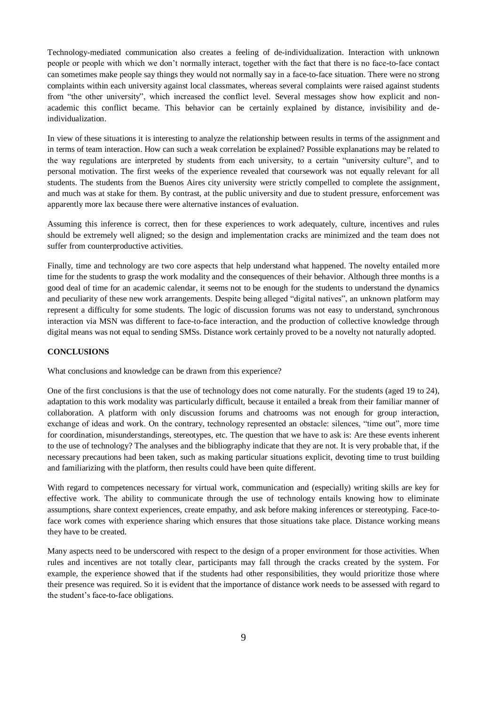Technology-mediated communication also creates a feeling of de-individualization. Interaction with unknown people or people with which we don"t normally interact, together with the fact that there is no face-to-face contact can sometimes make people say things they would not normally say in a face-to-face situation. There were no strong complaints within each university against local classmates, whereas several complaints were raised against students from "the other university", which increased the conflict level. Several messages show how explicit and nonacademic this conflict became. This behavior can be certainly explained by distance, invisibility and deindividualization.

In view of these situations it is interesting to analyze the relationship between results in terms of the assignment and in terms of team interaction. How can such a weak correlation be explained? Possible explanations may be related to the way regulations are interpreted by students from each university, to a certain "university culture", and to personal motivation. The first weeks of the experience revealed that coursework was not equally relevant for all students. The students from the Buenos Aires city university were strictly compelled to complete the assignment, and much was at stake for them. By contrast, at the public university and due to student pressure, enforcement was apparently more lax because there were alternative instances of evaluation.

Assuming this inference is correct, then for these experiences to work adequately, culture, incentives and rules should be extremely well aligned; so the design and implementation cracks are minimized and the team does not suffer from counterproductive activities.

Finally, time and technology are two core aspects that help understand what happened. The novelty entailed more time for the students to grasp the work modality and the consequences of their behavior. Although three months is a good deal of time for an academic calendar, it seems not to be enough for the students to understand the dynamics and peculiarity of these new work arrangements. Despite being alleged "digital natives", an unknown platform may represent a difficulty for some students. The logic of discussion forums was not easy to understand, synchronous interaction via MSN was different to face-to-face interaction, and the production of collective knowledge through digital means was not equal to sending SMSs. Distance work certainly proved to be a novelty not naturally adopted.

## **CONCLUSIONS**

What conclusions and knowledge can be drawn from this experience?

One of the first conclusions is that the use of technology does not come naturally. For the students (aged 19 to 24), adaptation to this work modality was particularly difficult, because it entailed a break from their familiar manner of collaboration. A platform with only discussion forums and chatrooms was not enough for group interaction, exchange of ideas and work. On the contrary, technology represented an obstacle: silences, "time out", more time for coordination, misunderstandings, stereotypes, etc. The question that we have to ask is: Are these events inherent to the use of technology? The analyses and the bibliography indicate that they are not. It is very probable that, if the necessary precautions had been taken, such as making particular situations explicit, devoting time to trust building and familiarizing with the platform, then results could have been quite different.

With regard to competences necessary for virtual work, communication and (especially) writing skills are key for effective work. The ability to communicate through the use of technology entails knowing how to eliminate assumptions, share context experiences, create empathy, and ask before making inferences or stereotyping. Face-toface work comes with experience sharing which ensures that those situations take place. Distance working means they have to be created.

Many aspects need to be underscored with respect to the design of a proper environment for those activities. When rules and incentives are not totally clear, participants may fall through the cracks created by the system. For example, the experience showed that if the students had other responsibilities, they would prioritize those where their presence was required. So it is evident that the importance of distance work needs to be assessed with regard to the student"s face-to-face obligations.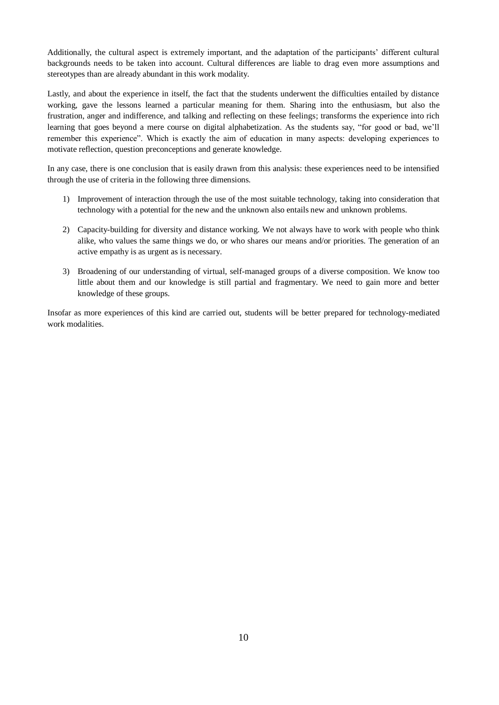Additionally, the cultural aspect is extremely important, and the adaptation of the participants" different cultural backgrounds needs to be taken into account. Cultural differences are liable to drag even more assumptions and stereotypes than are already abundant in this work modality.

Lastly, and about the experience in itself, the fact that the students underwent the difficulties entailed by distance working, gave the lessons learned a particular meaning for them. Sharing into the enthusiasm, but also the frustration, anger and indifference, and talking and reflecting on these feelings; transforms the experience into rich learning that goes beyond a mere course on digital alphabetization. As the students say, "for good or bad, we"ll remember this experience". Which is exactly the aim of education in many aspects: developing experiences to motivate reflection, question preconceptions and generate knowledge.

In any case, there is one conclusion that is easily drawn from this analysis: these experiences need to be intensified through the use of criteria in the following three dimensions.

- 1) Improvement of interaction through the use of the most suitable technology, taking into consideration that technology with a potential for the new and the unknown also entails new and unknown problems.
- 2) Capacity-building for diversity and distance working. We not always have to work with people who think alike, who values the same things we do, or who shares our means and/or priorities. The generation of an active empathy is as urgent as is necessary.
- 3) Broadening of our understanding of virtual, self-managed groups of a diverse composition. We know too little about them and our knowledge is still partial and fragmentary. We need to gain more and better knowledge of these groups.

Insofar as more experiences of this kind are carried out, students will be better prepared for technology-mediated work modalities.